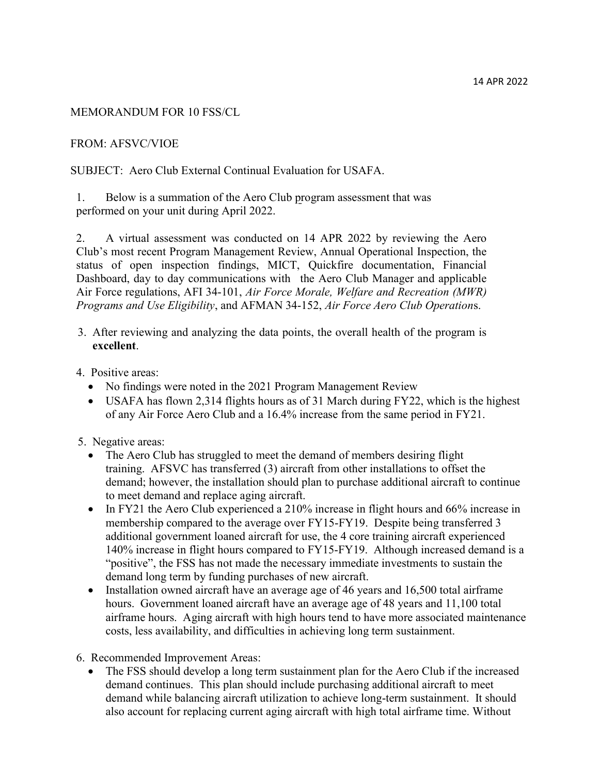## MEMORANDUM FOR 10 FSS/CL

## FROM: AFSVC/VIOE

SUBJECT: Aero Club External Continual Evaluation for USAFA.

1. Below is a summation of the Aero Club program assessment that was performed on your unit during April 2022.

2. A virtual assessment was conducted on 14 APR 2022 by reviewing the Aero Club's most recent Program Management Review, Annual Operational Inspection, the status of open inspection findings, MICT, Quickfire documentation, Financial Dashboard, day to day communications with the Aero Club Manager and applicable Air Force regulations, AFI 34-101, Air Force Morale, Welfare and Recreation (MWR) Programs and Use Eligibility, and AFMAN 34-152, Air Force Aero Club Operations.

- 3. After reviewing and analyzing the data points, the overall health of the program is excellent.
- 4. Positive areas:
	- No findings were noted in the 2021 Program Management Review
	- USAFA has flown 2,314 flights hours as of 31 March during FY22, which is the highest of any Air Force Aero Club and a 16.4% increase from the same period in FY21.
- 5. Negative areas:
	- The Aero Club has struggled to meet the demand of members desiring flight training. AFSVC has transferred (3) aircraft from other installations to offset the demand; however, the installation should plan to purchase additional aircraft to continue to meet demand and replace aging aircraft.
	- In FY21 the Aero Club experienced a 210% increase in flight hours and 66% increase in membership compared to the average over FY15-FY19. Despite being transferred 3 additional government loaned aircraft for use, the 4 core training aircraft experienced 140% increase in flight hours compared to FY15-FY19. Although increased demand is a "positive", the FSS has not made the necessary immediate investments to sustain the demand long term by funding purchases of new aircraft.
	- Installation owned aircraft have an average age of 46 years and  $16,500$  total airframe hours. Government loaned aircraft have an average age of 48 years and 11,100 total airframe hours. Aging aircraft with high hours tend to have more associated maintenance costs, less availability, and difficulties in achieving long term sustainment.
- 6. Recommended Improvement Areas:
	- The FSS should develop a long term sustainment plan for the Aero Club if the increased demand continues. This plan should include purchasing additional aircraft to meet demand while balancing aircraft utilization to achieve long-term sustainment. It should also account for replacing current aging aircraft with high total airframe time. Without